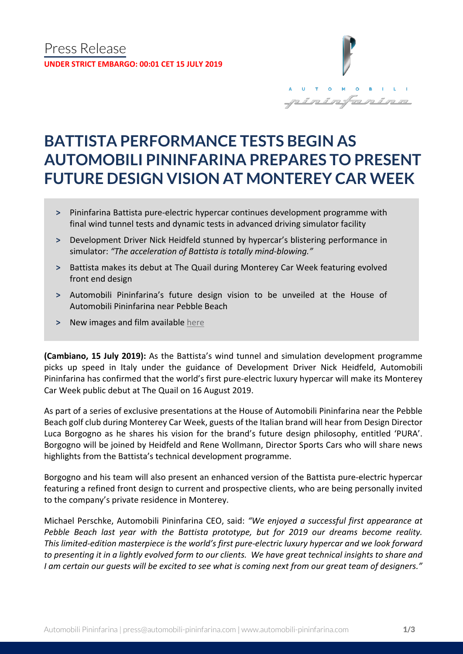

# **BATTISTA PERFORMANCE TESTS BEGIN AS AUTOMOBILI PININFARINA PREPARES TO PRESENT FUTURE DESIGN VISION AT MONTEREY CAR WEEK**

- **˃** Pininfarina Battista pure-electric hypercar continues development programme with final wind tunnel tests and dynamic tests in advanced driving simulator facility
- **˃** Development Driver Nick Heidfeld stunned by hypercar's blistering performance in simulator: *"The acceleration of Battista is totally mind-blowing."*
- **˃** Battista makes its debut at The Quail during Monterey Car Week featuring evolved front end design
- **˃** Automobili Pininfarina's future design vision to be unveiled at the House of Automobili Pininfarina near Pebble Beach
- **˃** New images and film available [here](https://bit.ly/2JmRQ2N)

**(Cambiano, 15 July 2019):** As the Battista's wind tunnel and simulation development programme picks up speed in Italy under the guidance of Development Driver Nick Heidfeld, Automobili Pininfarina has confirmed that the world's first pure-electric luxury hypercar will make its Monterey Car Week public debut at The Quail on 16 August 2019.

As part of a series of exclusive presentations at the House of Automobili Pininfarina near the Pebble Beach golf club during Monterey Car Week, guests of the Italian brand will hear from Design Director Luca Borgogno as he shares his vision for the brand's future design philosophy, entitled 'PURA'. Borgogno will be joined by Heidfeld and Rene Wollmann, Director Sports Cars who will share news highlights from the Battista's technical development programme.

Borgogno and his team will also present an enhanced version of the Battista pure-electric hypercar featuring a refined front design to current and prospective clients, who are being personally invited to the company's private residence in Monterey.

Michael Perschke, Automobili Pininfarina CEO, said: *"We enjoyed a successful first appearance at Pebble Beach last year with the Battista prototype, but for 2019 our dreams become reality. This limited-edition masterpiece is the world's first pure-electric luxury hypercar and we look forward to presenting it in a lightly evolved form to our clients. We have great technical insights to share and I am certain our guests will be excited to see what is coming next from our great team of designers."*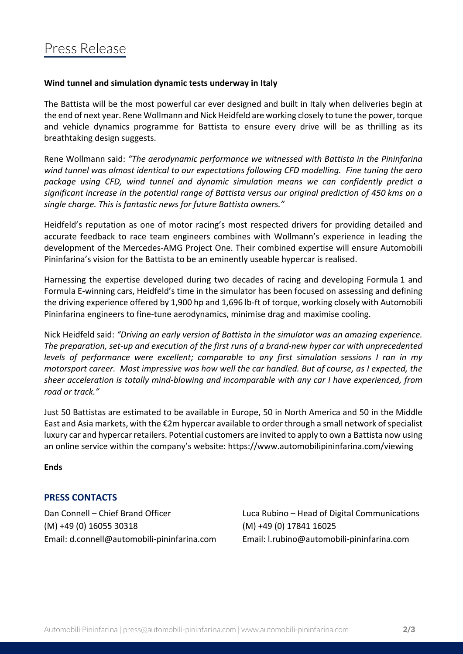## **Wind tunnel and simulation dynamic tests underway in Italy**

The Battista will be the most powerful car ever designed and built in Italy when deliveries begin at the end of next year. Rene Wollmann and Nick Heidfeld are working closely to tune the power, torque and vehicle dynamics programme for Battista to ensure every drive will be as thrilling as its breathtaking design suggests.

Rene Wollmann said: *"The aerodynamic performance we witnessed with Battista in the Pininfarina wind tunnel was almost identical to our expectations following CFD modelling. Fine tuning the aero package using CFD, wind tunnel and dynamic simulation means we can confidently predict a significant increase in the potential range of Battista versus our original prediction of 450 kms on a single charge. This is fantastic news for future Battista owners."*

Heidfeld's reputation as one of motor racing's most respected drivers for providing detailed and accurate feedback to race team engineers combines with Wollmann's experience in leading the development of the Mercedes-AMG Project One. Their combined expertise will ensure Automobili Pininfarina's vision for the Battista to be an eminently useable hypercar is realised.

Harnessing the expertise developed during two decades of racing and developing Formula 1 and Formula E-winning cars, Heidfeld's time in the simulator has been focused on assessing and defining the driving experience offered by 1,900 hp and 1,696 lb-ft of torque, working closely with Automobili Pininfarina engineers to fine-tune aerodynamics, minimise drag and maximise cooling.

Nick Heidfeld said: *"Driving an early version of Battista in the simulator was an amazing experience. The preparation, set-up and execution of the first runs of a brand-new hyper car with unprecedented levels of performance were excellent; comparable to any first simulation sessions I ran in my motorsport career. Most impressive was how well the car handled. But of course, as I expected, the sheer acceleration is totally mind-blowing and incomparable with any car I have experienced, from road or track."*

Just 50 Battistas are estimated to be available in Europe, 50 in North America and 50 in the Middle East and Asia markets, with the €2m hypercar available to order through a small network of specialist luxury car and hypercar retailers. Potential customers are invited to apply to own a Battista now using an online service within the company's website: https://www.automobilipininfarina.com/viewing

**Ends**

# **PRESS CONTACTS**

(M) +49 (0) 16055 30318 (M) +49 (0) 17841 16025 Email: d.connell@automobili-pininfarina.com Email: [l.rubino@automobili-pininfarina.com](mailto:l.rubino@automobili-pininfarina.com)

Dan Connell – Chief Brand Officer Luca Rubino – Head of Digital Communications